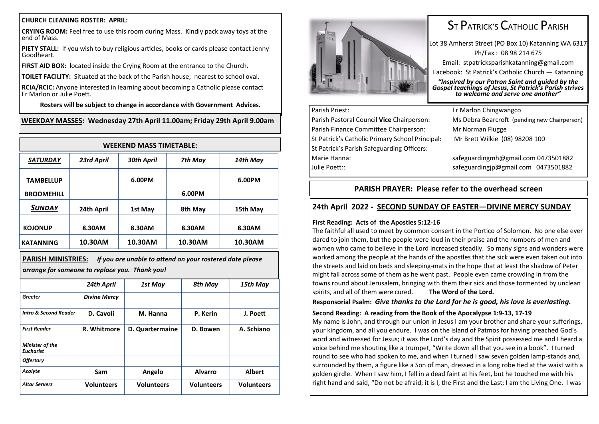#### **CHURCH CLEANING ROSTER: APRIL:**

**CRYING ROOM:** Feel free to use this room during Mass. Kindly pack away toys at the end of Mass.

**PIETY STALL:** If you wish to buy religious articles, books or cards please contact Jenny Goodheart.

**FIRST AID BOX:** located inside the Crying Room at the entrance to the Church.

**TOILET FACILITY:** Situated at the back of the Parish house; nearest to school oval.

**RCIA/RCIC:** Anyone interested in learning about becoming a Catholic please contact Fr Marlon or Julie Poett.

**Rosters will be subject to change in accordance with Government Advices.**

### **WEEKDAY MASSES: Wednesday 27th April 11.00am; Friday 29th April 9.00am**

| <b>WEEKEND MASS TIMETABLE:</b> |            |            |         |          |  |  |  |
|--------------------------------|------------|------------|---------|----------|--|--|--|
| <b>SATURDAY</b>                | 23rd April | 30th April | 7th May | 14th May |  |  |  |
| <b>TAMBELLUP</b>               |            | 6.00PM     |         | 6.00PM   |  |  |  |
| <b>BROOMEHILL</b>              |            |            | 6.00PM  |          |  |  |  |
| <b>SUNDAY</b>                  | 24th April | 1st May    | 8th May | 15th May |  |  |  |
| <b>KOJONUP</b>                 | 8.30AM     | 8.30AM     | 8.30AM  | 8.30AM   |  |  |  |
| <b>KATANNING</b>               | 10.30AM    | 10.30AM    | 10.30AM | 10.30AM  |  |  |  |

**PARISH MINISTRIES:** *If you are unable to attend on your rostered date please arrange for someone to replace you. Thank you!*

|                                     | 24th April          | 1st May           | 8th May           | 15th May          |  |
|-------------------------------------|---------------------|-------------------|-------------------|-------------------|--|
| Greeter                             | <b>Divine Mercy</b> |                   |                   |                   |  |
| <b>Intro &amp; Second Reader</b>    | D. Cavoli           | M. Hanna          | P. Kerin          | J. Poett          |  |
| <b>First Reader</b>                 | R. Whitmore         | D. Quartermaine   | D. Bowen          | A. Schiano        |  |
| Minister of the<br><b>Eucharist</b> |                     |                   |                   |                   |  |
| <b>Offertory</b>                    |                     |                   |                   |                   |  |
| Acolyte                             | Sam                 | Angelo            | <b>Alvarro</b>    | <b>Albert</b>     |  |
| <b>Altar Servers</b>                | <b>Volunteers</b>   | <b>Volunteers</b> | <b>Volunteers</b> | <b>Volunteers</b> |  |



## ST PATRICK'S CATHOLIC PARISH

Lot 38 Amherst Street (PO Box 10) Katanning WA 6317 Ph/Fax : 08 98 214 675 Email: stpatricksparishkatanning@gmail.com Facebook: St Patrick's Catholic Church — Katanning

*"Inspired by our Patron Saint and guided by the Gospel teachings of Jesus, St Patrick's Parish strives to welcome and serve one another"*

# Parish Priest: Fr Marlon Chingwangco

## Parish Finance Committee Chairperson: Mr Norman Flugge St Patrick's Catholic Primary School Principal: Mr Brett Wilkie (08) 98208 100 St Patrick's Parish Safeguarding Officers: Marie Hanna: safeguardingmh@gmail.com 0473501882 Julie Poett:: safeguardingjp@gmail.com 0473501882

Parish Pastoral Council **Vice** Chairperson: Ms Debra Bearcroft (pending new Chairperson)

## **PARISH PRAYER: Please refer to the overhead screen**

## **24th April 2022 - SECOND SUNDAY OF EASTER—DIVINE MERCY SUNDAY**

#### **First Reading: Acts of the Apostles 5:12-16**

The faithful all used to meet by common consent in the Portico of Solomon. No one else ever dared to join them, but the people were loud in their praise and the numbers of men and women who came to believe in the Lord increased steadily. So many signs and wonders were worked among the people at the hands of the apostles that the sick were even taken out into the streets and laid on beds and sleeping-mats in the hope that at least the shadow of Peter might fall across some of them as he went past. People even came crowding in from the towns round about Jerusalem, bringing with them their sick and those tormented by unclean spirits, and all of them were cured. **The Word of the Lord.**

**Responsorial Psalm:** *Give thanks to the Lord for he is good, his love is everlasting.*

### **Second Reading: A reading from the Book of the Apocalypse 1:9-13, 17-19**

My name is John, and through our union in Jesus I am your brother and share your sufferings, your kingdom, and all you endure. I was on the island of Patmos for having preached God's word and witnessed for Jesus; it was the Lord's day and the Spirit possessed me and I heard a voice behind me shouting like a trumpet, "Write down all that you see in a book". I turned round to see who had spoken to me, and when I turned I saw seven golden lamp-stands and, surrounded by them, a figure like a Son of man, dressed in a long robe tied at the waist with a golden girdle. When I saw him, I fell in a dead faint at his feet, but he touched me with his right hand and said, "Do not be afraid; it is I, the First and the Last; I am the Living One. I was